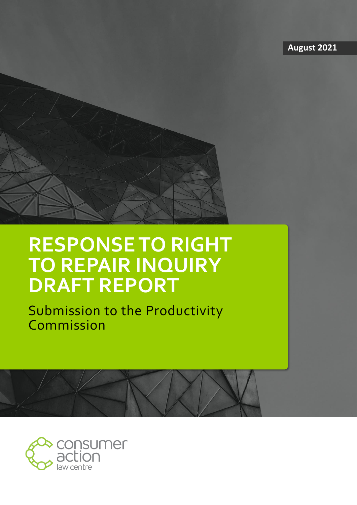**August 2021**



## **RESPONSE TO RIGHT TO REPAIR INQUIRY DRAFT REPORT**

Submission to the Productivity Commission

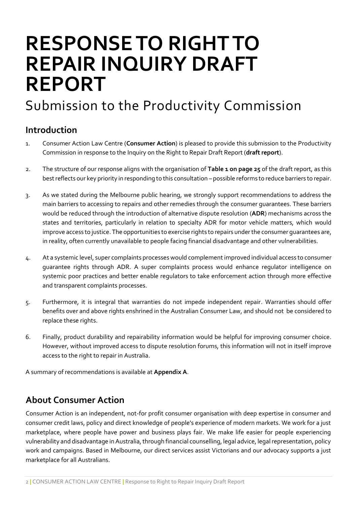# **RESPONSE TO RIGHT TO REPAIR INQUIRY DRAFT REPORT**

## Submission to the Productivity Commission

## <span id="page-1-0"></span>**Introduction**

- 1. Consumer Action Law Centre (**Consumer Action**) is pleased to provide this submission to the Productivity Commission in response to the Inquiry on the Right to Repair Draft Report (**draft report**).
- 2. The structure of our response aligns with the organisation of **Table 1 on page 25** of the draft report, as this best reflects our key priority in responding to this consultation – possible reforms to reduce barriers to repair.
- 3. As we stated during the Melbourne public hearing, we strongly support recommendations to address the main barriers to accessing to repairs and other remedies through the consumer guarantees. These barriers would be reduced through the introduction of alternative dispute resolution (**ADR**) mechanisms across the states and territories, particularly in relation to specialty ADR for motor vehicle matters, which would improve access to justice. The opportunities to exercise rights to repairs under the consumer guarantees are, in reality, often currently unavailable to people facing financial disadvantage and other vulnerabilities.
- 4. At a systemic level, super complaints processes would complement improved individual access to consumer guarantee rights through ADR. A super complaints process would enhance regulator intelligence on systemic poor practices and better enable regulators to take enforcement action through more effective and transparent complaints processes.
- 5. Furthermore, it is integral that warranties do not impede independent repair. Warranties should offer benefits over and above rights enshrined in the Australian Consumer Law, and should not be considered to replace these rights.
- 6. Finally, product durability and repairability information would be helpful for improving consumer choice. However, without improved access to dispute resolution forums, this information will not in itself improve access to the right to repair in Australia.

A summary of recommendations is available at **Appendix A**.

## **About Consumer Action**

Consumer Action is an independent, not-for profit consumer organisation with deep expertise in consumer and consumer credit laws, policy and direct knowledge of people's experience of modern markets. We work for a just marketplace, where people have power and business plays fair. We make life easier for people experiencing vulnerability and disadvantage in Australia, through financial counselling, legal advice, legal representation, policy work and campaigns. Based in Melbourne, our direct services assist Victorians and our advocacy supports a just marketplace for all Australians.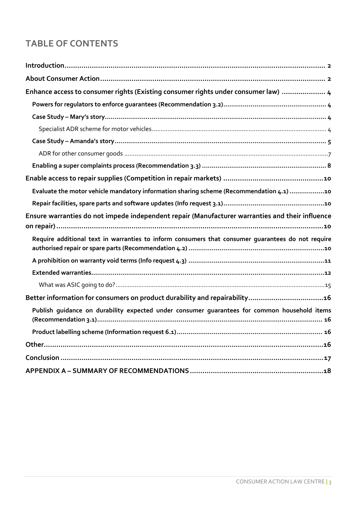## **TABLE OF CONTENTS**

| Enhance access to consumer rights (Existing consumer rights under consumer law)  4                |
|---------------------------------------------------------------------------------------------------|
|                                                                                                   |
|                                                                                                   |
|                                                                                                   |
|                                                                                                   |
|                                                                                                   |
|                                                                                                   |
|                                                                                                   |
| Evaluate the motor vehicle mandatory information sharing scheme (Recommendation 4.1) 10           |
|                                                                                                   |
| Ensure warranties do not impede independent repair (Manufacturer warranties and their influence   |
|                                                                                                   |
| Require additional text in warranties to inform consumers that consumer quarantees do not require |
|                                                                                                   |
|                                                                                                   |
|                                                                                                   |
| Better information for consumers on product durability and repairability16                        |
| Publish guidance on durability expected under consumer guarantees for common household items      |
|                                                                                                   |
|                                                                                                   |
|                                                                                                   |
|                                                                                                   |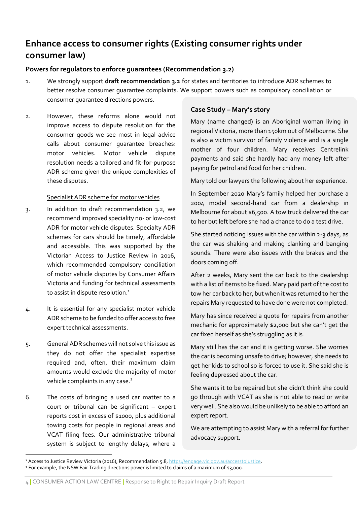## <span id="page-3-0"></span>**Enhance access to consumer rights (Existing consumer rights under consumer law)**

#### <span id="page-3-1"></span>**Powers for regulators to enforce guarantees (Recommendation 3.2)**

- 1. We strongly support **draft recommendation 3.2** for states and territories to introduce ADR schemes to better resolve consumer guarantee complaints. We support powers such as compulsory conciliation or consumer guarantee directions powers.
- 2. However, these reforms alone would not improve access to dispute resolution for the consumer goods we see most in legal advice calls about consumer guarantee breaches: motor vehicles. Motor vehicle dispute resolution needs a tailored and fit-for-purpose ADR scheme given the unique complexities of these disputes.

#### Specialist ADR scheme for motor vehicles

- <span id="page-3-2"></span>3. In addition to draft recommendation 3.2, we recommend improved speciality no- orlow-cost ADR for motor vehicle disputes. Specialty ADR schemes for cars should be timely, affordable and accessible. This was supported by the Victorian Access to Justice Review in 2016, which recommended compulsory conciliation of motor vehicle disputes by Consumer Affairs Victoria and funding for technical assessments to assist in dispute resolution. 1
- 4. It is essential for any specialist motor vehicle ADR scheme to be funded to offer access to free expert technical assessments.
- 5. General ADR schemes will not solve this issue as they do not offer the specialist expertise required and, often, their maximum claim amounts would exclude the majority of motor vehicle complaints in any case.<sup>2</sup>
- 6. The costs of bringing a used car matter to a court or tribunal can be significant – expert reports cost in excess of \$1000, plus additional towing costs for people in regional areas and VCAT filing fees. Our administrative tribunal system is subject to lengthy delays, where a

#### **Case Study – Mary's story**

Mary (name changed) is an Aboriginal woman living in regional Victoria, more than 150km out of Melbourne. She is also a victim survivor of family violence and is a single mother of four children. Mary receives Centrelink payments and said she hardly had any money left after paying for petrol and food for her children.

Mary told our lawyers the following about her experience.

In September 2020 Mary's family helped her purchase a 2004 model second-hand car from a dealership in Melbourne for about \$6,500. A tow truck delivered the car to her but left before she had a chance to do a test drive.

She started noticing issues with the car within 2-3 days, as the car was shaking and making clanking and banging sounds. There were also issues with the brakes and the doors coming off.

After 2 weeks, Mary sent the car back to the dealership with a list of items to be fixed. Mary paid part of the cost to tow her car back to her, but when it was returned to her the repairs Mary requested to have done were not completed.

Mary has since received a quote for repairs from another mechanic for approximately \$2,000 but she can't get the car fixed herself as she's struggling as it is.

Mary still has the car and it is getting worse. She worries the car is becoming unsafe to drive; however, she needs to get her kids to school so is forced to use it. She said she is feeling depressed about the car.

She wants it to be repaired but she didn't think she could go through with VCAT as she is not able to read or write very well. She also would be unlikely to be able to afford an expert report.

We are attempting to assist Mary with a referral for further advocacy support.

4 **|** CONSUMER ACTION LAW CENTRE **|** Response to Right to Repair Inquiry Draft Report

<sup>&</sup>lt;sup>1</sup> Access to Justice Review Victoria (2016), Recommendation 5.8[, https://engage.vic.gov.au/accesstojustice.](https://engage.vic.gov.au/accesstojustice) <sup>2</sup> For example, the NSW Fair Trading directions power is limited to claims of a maximum of \$3,000.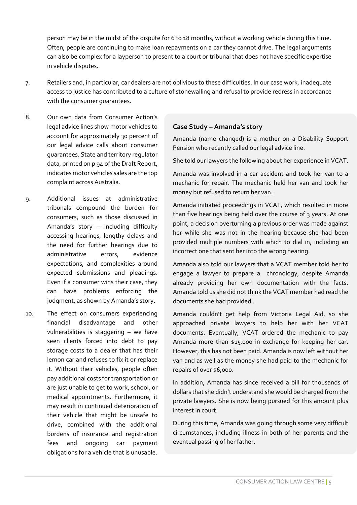person may be in the midst of the dispute for 6 to 18 months, without a working vehicle during this time. Often, people are continuing to make loan repayments on a car they cannot drive. The legal arguments can also be complex for a layperson to present to a court or tribunal that does not have specific expertise in vehicle disputes.

- 7. Retailers and, in particular, car dealers are not oblivious to these difficulties. In our case work, inadequate access to justice has contributed to a culture of stonewalling and refusal to provide redress in accordance with the consumer guarantees.
- 8. Our own data from Consumer Action's legal advice lines show motor vehicles to account for approximately 30 percent of our legal advice calls about consumer guarantees. State and territory regulator data, printed on p 94 of the Draft Report, indicates motor vehicles sales are the top complaint across Australia.
- 9. Additional issues at administrative tribunals compound the burden for consumers, such as those discussed in Amanda's story – including difficulty accessing hearings, lengthy delays and the need for further hearings due to administrative errors, evidence expectations, and complexities around expected submissions and pleadings. Even if a consumer wins their case, they can have problems enforcing the judgment, as shown by Amanda's story.
- 10. The effect on consumers experiencing financial disadvantage and other vulnerabilities is staggering – we have seen clients forced into debt to pay storage costs to a dealer that has their lemon car and refuses to fix it or replace it. Without their vehicles, people often pay additional costs for transportation or are just unable to get to work, school, or medical appointments. Furthermore, it may result in continued deterioration of their vehicle that might be unsafe to drive, combined with the additional burdens of insurance and registration fees and ongoing car payment obligations for a vehicle that is unusable.

#### **Case Study – Amanda's story**

Amanda (name changed) is a mother on a Disability Support Pension who recently called our legal advice line.

She told our lawyers the following about her experience in VCAT.

Amanda was involved in a car accident and took her van to a mechanic for repair. The mechanic held her van and took her money but refused to return her van.

Amanda initiated proceedings in VCAT, which resulted in more than five hearings being held over the course of 3 years. At one point, a decision overturning a previous order was made against her while she was not in the hearing because she had been provided multiple numbers with which to dial in, including an incorrect one that sent her into the wrong hearing.

Amanda also told our lawyers that a VCAT member told her to engage a lawyer to prepare a chronology, despite Amanda already providing her own documentation with the facts. Amanda told us she did not think the VCAT member had read the documents she had provided .

Amanda couldn't get help from Victoria Legal Aid, so she approached private lawyers to help her with her VCAT documents. Eventually, VCAT ordered the mechanic to pay Amanda more than \$15,000 in exchange for keeping her car. However, this has not been paid. Amanda is now left without her van and as well as the money she had paid to the mechanic for repairs of over \$6,000.

In addition, Amanda has since received a bill for thousands of dollars that she didn't understand she would be charged from the private lawyers. She is now being pursued for this amount plus interest in court.

During this time, Amanda was going through some very difficult circumstances, including illness in both of her parents and the eventual passing of her father.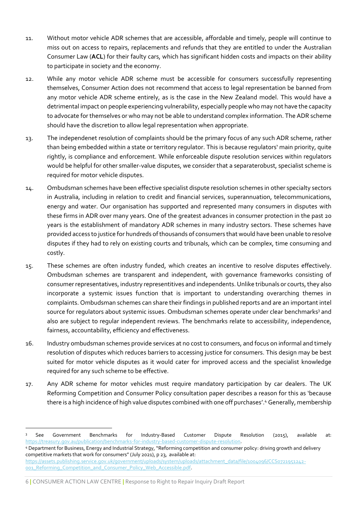- 11. Without motor vehicle ADR schemes that are accessible, affordable and timely, people will continue to miss out on access to repairs, replacements and refunds that they are entitled to under the Australian Consumer Law (**ACL**) for their faulty cars, which has significant hidden costs and impacts on their ability to participate in society and the economy.
- 12. While any motor vehicle ADR scheme must be accessible for consumers successfully representing themselves, Consumer Action does not recommend that access to legal representation be banned from any motor vehicle ADR scheme entirely, as is the case in the New Zealand model. This would have a detrimental impact on people experiencing vulnerability, especially people who may not have the capacity to advocate for themselves or who may not be able to understand complex information. The ADR scheme should have the discretion to allow legal representation when appropriate.
- 13. The independenet resolution of complaints should be the primary focus of any such ADR scheme, rather than being embedded within a state or territory regulator. This is because regulators' main priority, quite rightly, is compliance and enforcement. While enforceable dispute resolution services within regulators would be helpful for other smaller-value disputes, we consider that a separaterobust, specialist scheme is required for motor vehicle disputes.
- 14. Ombudsman schemes have been effective specialist dispute resolution schemes in other specialty sectors in Australia, including in relation to credit and financial services, superannuation, telecommunications, energy and water. Our organisation has supported and represented many consumers in disputes with these firms in ADR over many years. One of the greatest advances in consumer protection in the past 20 years is the establishment of mandatory ADR schemes in many industry sectors. These schemes have provided access to justice for hundreds of thousands of consumers that would have been unable to resolve disputes if they had to rely on existing courts and tribunals, which can be complex, time consuming and costly.
- 15. These schemes are often industry funded, which creates an incentive to resolve disputes effectively. Ombudsman schemes are transparent and independent, with governance frameworks consisting of consumer representatives, industry representitives and independents. Unlike tribunals or courts, they also incorporate a systemic issues function that is important to understanding overarching themes in complaints. Ombudsman schemes can share their findings in published reports and are an important intel source for regulators about systemic issues. Ombudsman schemes operate under clear benchmarks<sup>3</sup> and also are subject to regular independent reviews. The benchmarks relate to accessibility, independence, fairness, accountability, efficiency and effectiveness.
- 16. Industry ombudsman schemes provide services at no cost to consumers, and focus on informal and timely resolution of disputes which reduces barriers to accessing justice for consumers. This design may be best suited for motor vehicle disputes as it would cater for improved access and the specialist knowledge required for any such scheme to be effective.
- 17. Any ADR scheme for motor vehicles must require mandatory participation by car dealers. The UK Reforming Competition and Consumer Policy consultation paper describes a reason for this as 'because there is a high incidence of high value disputes combined with one off purchases'.<sup>4</sup> Generally, membership

<sup>3</sup> See Government Benchmarks for Industry-Based Customer Dispute Resolution (2015), available at: [https://treasury.gov.au/publication/benchmarks-for-industry-based-customer-dispute-resolution.](https://treasury.gov.au/publication/benchmarks-for-industry-based-customer-dispute-resolution)

<sup>4</sup> Department for Business, Energy and Industrial Strategy, "Reforming competition and consumer policy: driving growth and delivery competitive markets that work for consumers" (July 2021), p 23, available at:

[https://assets.publishing.service.gov.uk/government/uploads/system/uploads/attachment\\_data/file/1004096/CCS0721951242-](https://assets.publishing.service.gov.uk/government/uploads/system/uploads/attachment_data/file/1004096/CCS0721951242-001_Reforming_Competition_and_Consumer_Policy_Web_Accessible.pdf) [001\\_Reforming\\_Competition\\_and\\_Consumer\\_Policy\\_Web\\_Accessible.pdf.](https://assets.publishing.service.gov.uk/government/uploads/system/uploads/attachment_data/file/1004096/CCS0721951242-001_Reforming_Competition_and_Consumer_Policy_Web_Accessible.pdf)

<sup>6</sup> **|** CONSUMER ACTION LAW CENTRE **|** Response to Right to Repair Inquiry Draft Report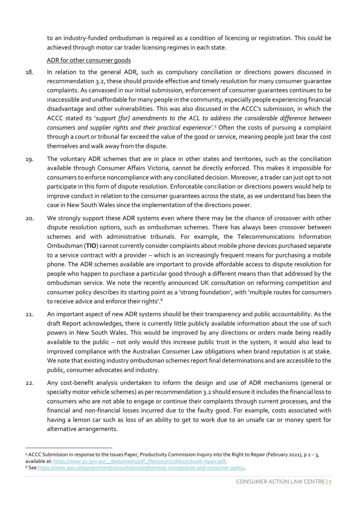to an industry-funded ombudsman is required as a condition of licencing or registration. This could be achieved through motor car trader licensing regimes in each state.

#### ADR for other consumer goods

- <span id="page-6-0"></span>18. In relation to the general ADR, such as compulsory conciliation or directions powers discussed in recommendation 3.2, these should provide effective and timely resolution for many consumer guarantee complaints. As canvassed in our initial submission, enforcement of consumer guarantees continues to be inaccessible and unaffordable for many people in the community, especially people experiencing financial disadvantage and other vulnerabilities. This was also discussed in the ACCC's submission, in which the ACCC stated its '*support [for] amendments to the ACL to address the considerable difference between consumers and supplier rights and their practical experience'*. <sup>5</sup> Often the costs of pursuing a complaint through a court or tribunal far exceed the value of the good or service, meaning people just bear the cost themselves and walk away from the dispute.
- 19. The voluntary ADR schemes that are in place in other states and territories, such as the conciliation available through Consumer Affairs Victoria, cannot be directly enforced. This makes it impossible for consumers to enforce noncompliance with any conciliated decision. Moreover, a trader can just opt to not participate in this form of dispute resolution. Enforceable conciliation or directions powers would help to improve conduct in relation to the consumer guarantees across the state, as we understand has been the case in New South Wales since the implementation of the directions power.
- 20. We strongly support these ADR systems even where there may be the chance of crossover with other dispute resolution options, such as ombudsman schemes. There has always been crossover between schemes and with administrative tribunals. For example, the Telecommunications Information Ombudsman (**TIO**) cannot currently consider complaints about mobile phone devices purchased separate to a service contract with a provider – which is an increasingly frequent means for purchasing a mobile phone. The ADR schemes available are important to provide affordable access to dispute resolution for people who happen to purchase a particular good through a different means than that addressed by the ombudsman service. We note the recently announced UK consultation on reforming competition and consumer policy describes its starting point as a 'strong foundation', with 'multiple routes for consumers to receive advice and enforce their rights'.<sup>6</sup>
- 21. An important aspect of new ADR systems should be their transparency and public accountability. As the draft Report acknowledges, there is currently little publicly available information about the use of such powers in New South Wales. This would be improved by any directions or orders made being readily available to the public – not only would this increase public trust in the system, it would also lead to improved compliance with the Australian Consumer Law obligations when brand reputation is at stake. We note that existing industry ombudsman schemes report final determinations and are accessible to the public, consumer advocates and industry.
- 22. Any cost-benefit analysis undertaken to inform the design and use of ADR mechanisms (general or specialty motor vehicle schemes) as per recommendation 3.2 should ensure it includes the financial loss to consumers who are not able to engage or continue their complaints through current processes, and the financial and non-financial losses incurred due to the faulty good. For example, costs associated with having a lemon car such as loss of an ability to get to work due to an unsafe car or money spent for alternative arrangements.

<sup>5</sup> ACCC Submission in response to the Issues Paper, Productivity Commission Inquiry into the Right to Repair (February 2021), p  $2 - 3$ , available at: https://www.pc.gov.au/ \_\_data/assets/pdf\_file/0007/272662/sub106-repair.pdf.

<sup>6</sup> Se[e https://www.gov.uk/government/consultations/reforming-competition-and-consumer-policy.](https://www.gov.uk/government/consultations/reforming-competition-and-consumer-policy)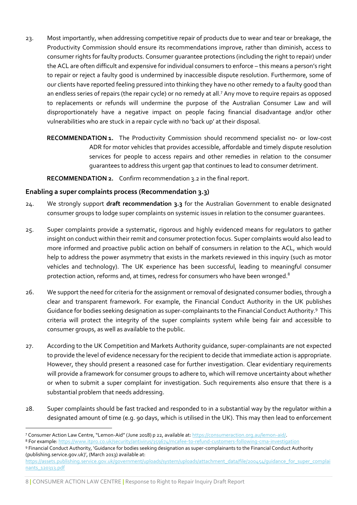- 23. Most importantly, when addressing competitive repair of products due to wear and tear or breakage, the Productivity Commission should ensure its recommendations improve, rather than diminish, access to consumer rights for faulty products. Consumer guarantee protections (including the right to repair) under the ACL are often difficult and expensive for individual consumers to enforce – this means a person's right to repair or reject a faulty good is undermined by inaccessible dispute resolution. Furthermore, some of our clients have reported feeling pressured into thinking they have no other remedy to a faulty good than an endless series of repairs (the repair cycle) or no remedy at all.<sup>7</sup> Any move to require repairs as opposed to replacements or refunds will undermine the purpose of the Australian Consumer Law and will disproportionately have a negative impact on people facing financial disadvantage and/or other vulnerabilities who are stuck in a repair cycle with no 'back up' at their disposal.
	- **RECOMMENDATION 1.** The Productivity Commission should recommend specialist no- or low-cost ADR for motor vehicles that provides accessible, affordable and timely dispute resolution services for people to access repairs and other remedies in relation to the consumer guarantees to address this urgent gap that continues to lead to consumer detriment.

<span id="page-7-2"></span><span id="page-7-1"></span>**RECOMMENDATION 2.** Confirm recommendation 3.2 in the final report.

#### <span id="page-7-0"></span>**Enabling a super complaints process (Recommendation 3.3)**

- 24. We strongly support **draft recommendation 3.3** for the Australian Government to enable designated consumer groups to lodge super complaints on systemic issues in relation to the consumer guarantees.
- 25. Super complaints provide a systematic, rigorous and highly evidenced means for regulators to gather insight on conduct within their remit and consumer protection focus. Super complaints would also lead to more informed and proactive public action on behalf of consumers in relation to the ACL, which would help to address the power asymmetry that exists in the markets reviewed in this inquiry (such as motor vehicles and technology). The UK experience has been successful, leading to meaningful consumer protection action, reforms and, at times, redress for consumers who have been wronged.<sup>8</sup>
- 26. We support the need for criteria for the assignment or removal of designated consumer bodies, through a clear and transparent framework. For example, the Financial Conduct Authority in the UK publishes Guidance for bodies seeking designation as super-complainants to the Financial Conduct Authority.<sup>9</sup> This criteria will protect the integrity of the super complaints system while being fair and accessible to consumer groups, as well as available to the public.
- 27. According to the UK Competition and Markets Authority guidance, super-complainants are not expected to provide the level of evidence necessary for the recipient to decide that immediate action is appropriate. However, they should present a reasoned case for further investigation. Clear evidentiary requirements will provide a framework for consumer groups to adhere to, which will remove uncertainty about whether or when to submit a super complaint for investigation. Such requirements also ensure that there is a substantial problem that needs addressing.
- 28. Super complaints should be fast tracked and responded to in a substantial way by the regulator within a designated amount of time (e.g. 90 days, which is utilised in the UK). This may then lead to enforcement

#### 8 **|** CONSUMER ACTION LAW CENTRE **|** Response to Right to Repair Inquiry Draft Report

<sup>7</sup> Consumer Action Law Centre, "Lemon-Aid" (June 2018) p 22, available at: [https://consumeraction.org.au/lemon-aid/.](https://consumeraction.org.au/lemon-aid/)

<sup>8</sup> For example: <https://www.itpro.co.uk/security/antivirus/359674/mcafee-to-refund-customers-following-cma-investigation> <sup>9</sup> Financial Conduct Authority, 'Guidance for bodies seeking designation as super-complainants to the Financial Conduct Authority

<sup>(</sup>publishing.service.gov.uk)', (March 2013) available at: [https://assets.publishing.service.gov.uk/government/uploads/system/uploads/attachment\\_data/file/200454/guidance\\_for\\_super\\_complai](https://assets.publishing.service.gov.uk/government/uploads/system/uploads/attachment_data/file/200454/guidance_for_super_complainants_120313.pdf) [nants\\_120313.pdf](https://assets.publishing.service.gov.uk/government/uploads/system/uploads/attachment_data/file/200454/guidance_for_super_complainants_120313.pdf)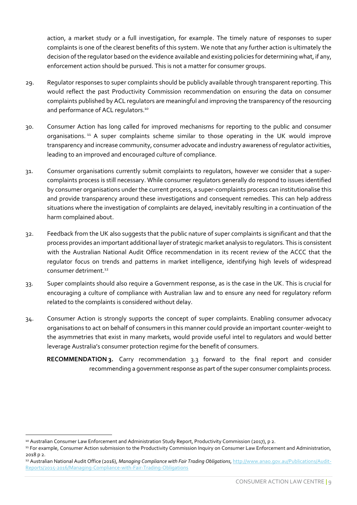action, a market study or a full investigation, for example. The timely nature of responses to super complaints is one of the clearest benefits of this system. We note that any further action is ultimately the decision ofthe regulator based on the evidence available and existing policies for determining what, if any, enforcement action should be pursued. This is not a matter for consumer groups.

- 29. Regulator responses to super complaints should be publicly available through transparent reporting. This would reflect the past Productivity Commission recommendation on ensuring the data on consumer complaints published by ACL regulators are meaningful and improving the transparency of the resourcing and performance of ACL regulators.<sup>10</sup>
- 30. Consumer Action has long called for improved mechanisms for reporting to the public and consumer organisations.<sup>11</sup> A super complaints scheme similar to those operating in the UK would improve transparency and increase community, consumer advocate and industry awareness of regulator activities, leading to an improved and encouraged culture of compliance.
- 31. Consumer organisations currently submit complaints to regulators, however we consider that a supercomplaints process is still necessary. While consumer regulators generally do respond to issues identified by consumer organisations under the current process, a super-complaints process can institutionalise this and provide transparency around these investigations and consequent remedies. This can help address situations where the investigation of complaints are delayed, inevitably resulting in a continuation of the harm complained about.
- 32. Feedback from the UK also suggests that the public nature of super complaints is significant and that the process provides an important additional layer of strategic market analysis to regulators. This is consistent with the Australian National Audit Office recommendation in its recent review of the ACCC that the regulator focus on trends and patterns in market intelligence, identifying high levels of widespread consumer detriment.<sup>12</sup>
- 33. Super complaints should also require a Government response, as is the case in the UK. This is crucial for encouraging a culture of compliance with Australian law and to ensure any need for regulatory reform related to the complaints is considered without delay.
- 34. Consumer Action is strongly supports the concept of super complaints. Enabling consumer advocacy organisations to act on behalf of consumers in this manner could provide an important counter-weight to the asymmetries that exist in many markets, would provide useful intel to regulators and would better leverage Australia's consumer protection regime for the benefit of consumers.

<span id="page-8-0"></span>**RECOMMENDATION 3.** Carry recommendation 3.3 forward to the final report and consider recommending a government response as part of the super consumer complaints process.

<sup>10</sup> Australian Consumer Law Enforcement and Administration Study Report, Productivity Commission (2017), p 2.

<sup>&</sup>lt;sup>11</sup> For example, Consumer Action submission to the Productivity Commission Inquiry on Consumer Law Enforcement and Administration, 2018 p 2.

<sup>12</sup> Australian National Audit Office (2016), *Managing Compliance with Fair Trading Obligations*[, http://www.anao.gov.au/Publications/Audit-](http://www.anao.gov.au/Publications/Audit-Reports/2015-2016/Managing-Compliance-with-Fair-Trading-Obligations)[Reports/2015-2016/Managing-Compliance-with-Fair-Trading-Obligations](http://www.anao.gov.au/Publications/Audit-Reports/2015-2016/Managing-Compliance-with-Fair-Trading-Obligations)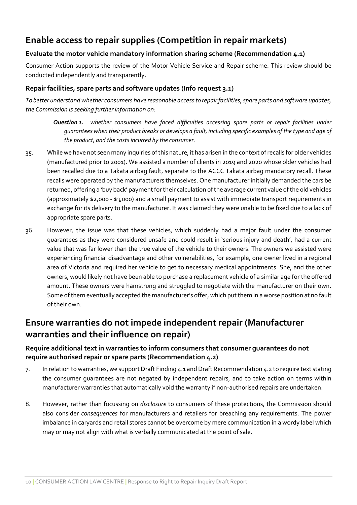## <span id="page-9-0"></span>**Enable access to repair supplies (Competition in repair markets)**

#### <span id="page-9-1"></span>**Evaluate the motor vehicle mandatory information sharing scheme (Recommendation 4.1)**

Consumer Action supports the review of the Motor Vehicle Service and Repair scheme. This review should be conducted independently and transparently.

#### <span id="page-9-2"></span>**Repair facilities, spare parts and software updates (Info request 3.1)**

*To better understand whether consumers have reasonable access to repair facilities, spare parts and software updates, the Commission is seeking further information on:* 

*Question 1. whether consumers have faced difficulties accessing spare parts or repair facilities under guarantees when their product breaks or develops a fault, including specific examples of the type and age of the product, and the costs incurred by the consumer.*

- 35. While we have not seen many inquiries of this nature, it has arisen in the context of recalls for older vehicles (manufactured prior to 2001). We assisted a number of clients in 2019 and 2020 whose older vehicles had been recalled due to a Takata airbag fault, separate to the ACCC Takata airbag mandatory recall. These recalls were operated by the manufacturers themselves. One manufacturer initially demanded the cars be returned, offering a 'buy back' payment for their calculation of the average current value of the old vehicles (approximately \$2,000 - \$3,000) and a small payment to assist with immediate transport requirements in exchange for its delivery to the manufacturer. It was claimed they were unable to be fixed due to a lack of appropriate spare parts.
- 36. However, the issue was that these vehicles, which suddenly had a major fault under the consumer guarantees as they were considered unsafe and could result in 'serious injury and death', had a current value that was far lower than the true value of the vehicle to their owners. The owners we assisted were experiencing financial disadvantage and other vulnerabilities, for example, one owner lived in a regional area of Victoria and required her vehicle to get to necessary medical appointments. She, and the other owners, would likely not have been able to purchase a replacement vehicle of a similar age for the offered amount. These owners were hamstrung and struggled to negotiate with the manufacturer on their own. Some of them eventually accepted the manufacturer's offer, which put them in a worse position at no fault of their own.

## <span id="page-9-3"></span>**Ensure warranties do not impede independent repair (Manufacturer warranties and their influence on repair)**

#### <span id="page-9-4"></span>**Require additional text in warranties to inform consumers that consumer guarantees do not require authorised repair or spare parts (Recommendation 4.2)**

- 7. In relation to warranties, we support Draft Finding 4.1 and Draft Recommendation 4.2 to require text stating the consumer guarantees are not negated by independent repairs, and to take action on terms within manufacturer warranties that automatically void the warranty if non-authorised repairs are undertaken.
- 8. However, rather than focussing on *disclosure* to consumers of these protections, the Commission should also consider *consequences* for manufacturers and retailers for breaching any requirements. The power imbalance in caryards and retail stores cannot be overcome by mere communication in a wordy label which may or may not align with what is verbally communicated at the point of sale.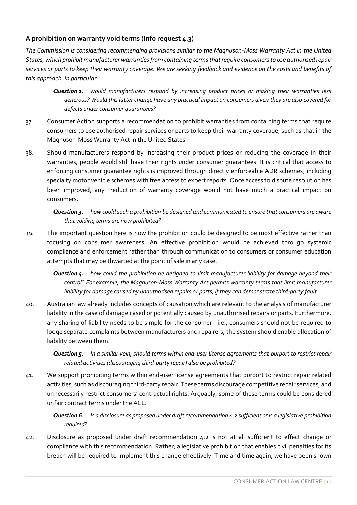#### <span id="page-10-0"></span>**A prohibition on warranty void terms (Info request 4.3)**

*The Commission is considering recommending provisions similar to the Magnuson-Moss Warranty Act in the United States, which prohibit manufacturer warranties from containing terms that require consumers to use authorised repair services or parts to keep their warranty coverage. We are seeking feedback and evidence on the costs and benefits of this approach. In particular:* 

- *Question 2. would manufacturers respond by increasing product prices or making their warranties less generous? Would this latter change have any practical impact on consumers given they are also covered for defects under consumer guarantees?*
- 37. Consumer Action supports a recommendation to prohibit warranties from containing terms that require consumers to use authorised repair services or parts to keep their warranty coverage, such as that in the Magnuson-Moss Warranty Act in the United States.
- 38. Should manufacturers respond by increasing their product prices or reducing the coverage in their warranties, people would still have their rights under consumer guarantees. It is critical that access to enforcing consumer guarantee rights is improved through directly enforceable ADR schemes, including specialty motor vehicle schemes with free access to expert reports. Once access to dispute resolution has been improved, any reduction of warranty coverage would not have much a practical impact on consumers.

#### *Question 3. how could such a prohibition be designed and communicated to ensure that consumers are aware that voiding terms are now prohibited?*

39. The important question here is how the prohibition could be designed to be most effective rather than focusing on consumer awareness. An effective prohibition would be achieved through systemic compliance and enforcement rather than through communication to consumers or consumer education attempts that may be thwarted at the point of sale in any case.

*Question 4. how could the prohibition be designed to limit manufacturer liability for damage beyond their control? For example, the Magnuson-Moss Warranty Act permits warranty terms that limit manufacturer liability for damage caused by unauthorised repairs or parts, if they can demonstrate third-party fault.* 

40. Australian law already includes concepts of causation which are relevant to the analysis of manufacturer liability in the case of damage cased or potentially caused by unauthorised repairs or parts. Furthermore, any sharing of liability needs to be simple for the consumer—i.e., consumers should not be required to lodge separate complaints between manufacturers and repairers, the system should enable allocation of liability between them.

*Question 5. In a similar vein, should terms within end-user license agreements that purport to restrict repair related activities (discouraging third-party repair) also be prohibited?* 

41. We support prohibiting terms within end-user license agreements that purport to restrict repair related activities, such as discouraging third-party repair. These terms discourage competitive repair services, and unnecessarily restrict consumers' contractual rights. Arguably, some of these terms could be considered unfair contract terms under the ACL.

*Question 6. Is a disclosure as proposed under draft recommendation 4.2 sufficient or is a legislative prohibition required?*

42. Disclosure as proposed under draft recommendation 4.2 is not at all sufficient to effect change or compliance with this recommendation. Rather, a legislative prohibition that enables civil penalties for its breach will be required to implement this change effectively. Time and time again, we have been shown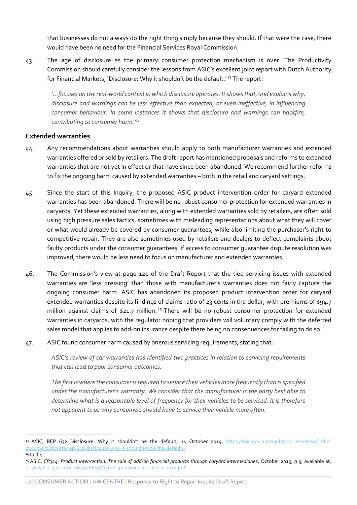that businesses do not always do the right thing simply because they should. If that were the case, there would have been no need for the Financial Services Royal Commission.

43. The age of disclosure as the primary consumer protection mechanism is over. The Productivity Commission should carefully consider the lessons from ASIC's excellent joint report with Dutch Authority for Financial Markets, 'Disclosure: Why it shouldn't be the default.' <sup>13</sup> The report:

*'…focuses on the real-world context in which disclosure operates. It shows that, and explains why, disclosure and warnings can be less effective than expected, or even ineffective, in influencing consumer behaviour. In some instances it shows that disclosure and warnings can backfire, contributing to consumer harm.' 14*

#### <span id="page-11-0"></span>**Extended warranties**

- 44. Any recommendations about warranties should apply to both manufacturer warranties and extended warranties offered or sold by retailers. The draft report has mentioned proposals and reforms to extended warranties that are not yet in effect or that have since been abandoned. We recommend further reforms to fix the ongoing harm caused by extended warranties – both in the retail and caryard settings.
- 45. Since the start of this Inquiry, the proposed ASIC product intervention order for caryard extended warranties has been abandoned. There will be no robust consumer protection for extended warranties in caryards. Yet these extended warranties, along with extended warranties sold by retailers, are often sold using high pressure sales tactics, sometimes with misleading representations about what they will cover or what would already be covered by consumer guarantees, while also limiting the purchaser's right to competitive repair. They are also sometimes used by retailers and dealers to deflect complaints about faulty products under the consumer guarantees. If access to consumer guarantee dispute resolution was improved, there would be less need to focus on manufacturer and extended warranties.
- 46. The Commission's view at page 120 of the Draft Report that the tied servicing issues with extended warranties are 'less pressing' than those with manufacturer's warranties does not fairly capture the ongoing consumer harm. ASIC has abandoned its proposed product intervention order for caryard extended warranties despite its findings of claims ratio of 23 cents in the dollar, with premiums of \$94.7 million against claims of \$21.7 million.<sup>15</sup> There will be no robust consumer protection for extended warranties in caryards, with the regulator hoping that providers will voluntary comply with the deferred sales model that applies to add-on insurance despite there being no consequences for failing to do so.
- 47. ASIC found consumer harm caused by onerous servicing requirements, stating that:

*ASIC's review of car warranties has identified two practices in relation to servicing requirements that can lead to poor consumer outcomes.* 

*The first is where the consumer is required to service their vehicles more frequently than is specified under the manufacturer's warranty. We consider that the manufacturer is the party best able to determine what is a reasonable level of frequency for their vehicles to be serviced. It is therefore not apparent to us why consumers should have to service their vehicle more often.* 

12 **|** CONSUMER ACTION LAW CENTRE **|** Response to Right to Repair Inquiry Draft Report

<sup>13</sup> ASIC, REP 632 Disclosure: Why it shouldn't be the default, 14 October 2019: [https://asic.gov.au/regulatory-resources/find-a](https://asic.gov.au/regulatory-resources/find-a-document/reports/rep-632-disclosure-why-it-shouldn-t-be-the-default/)[document/reports/rep-632-disclosure-why-it-shouldn-t-be-the-default/.](https://asic.gov.au/regulatory-resources/find-a-document/reports/rep-632-disclosure-why-it-shouldn-t-be-the-default/) <sup>14</sup> Ibid 4.

<sup>15</sup> ASIC, *CP324: Product intervention: The sale of add-on financial products through caryard intermediaries*, October 2019, p 9, available at: [https://asic.gov.au/media/5286418/cp324-published-1-october-2019.pdf.](https://asic.gov.au/media/5286418/cp324-published-1-october-2019.pdf)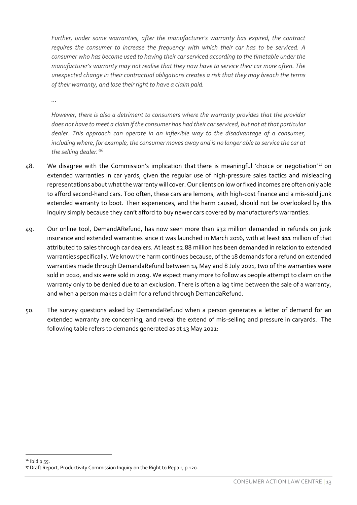*Further, under some warranties, after the manufacturer's warranty has expired, the contract requires the consumer to increase the frequency with which their car has to be serviced. A consumer who has become used to having their car serviced according to the timetable under the manufacturer's warranty may not realise that they now have to service their car more often. The unexpected change in their contractual obligations creates a risk that they may breach the terms of their warranty, and lose their right to have a claim paid.*

*…*

*However, there is also a detriment to consumers where the warranty provides that the provider does not have to meet a claim if the consumer has had their car serviced, but not at that particular dealer. This approach can operate in an inflexible way to the disadvantage of a consumer, including where, for example, the consumer moves away and is no longer able to service the car at the selling dealer.' 16*

- 48. We disagree with the Commission's implication that there is meaningful 'choice or negotiation' <sup>17</sup> on extended warranties in car yards, given the regular use of high-pressure sales tactics and misleading representations about what the warranty will cover. Our clients on low or fixed incomes are often only able to afford second-hand cars. Too often, these cars are lemons, with high-cost finance and a mis-sold junk extended warranty to boot. Their experiences, and the harm caused, should not be overlooked by this Inquiry simply because they can't afford to buy newer cars covered by manufacturer's warranties.
- 49. Our online tool, DemandARefund, has now seen more than \$32 million demanded in refunds on junk insurance and extended warranties since it was launched in March 2016, with at least \$11 million of that attributed to sales through car dealers. At least \$2.88 million has been demanded in relation to extended warranties specifically. We know the harm continues because, of the 18 demands for a refund on extended warranties made through DemandaRefund between 14 May and 8 July 2021, two of the warranties were sold in 2020, and six were sold in 2019. We expect many more to follow as people attempt to claim on the warranty only to be denied due to an exclusion. There is often a lag time between the sale of a warranty, and when a person makes a claim for a refund through DemandaRefund.
- 50. The survey questions asked by DemandaRefund when a person generates a letter of demand for an extended warranty are concerning, and reveal the extend of mis-selling and pressure in caryards. The following table refers to demands generated as at 13 May 2021:

<sup>&</sup>lt;sup>16</sup> Ibid p 55. <sup>17</sup> Draft Report, Productivity Commission Inquiry on the Right to Repair, p 120.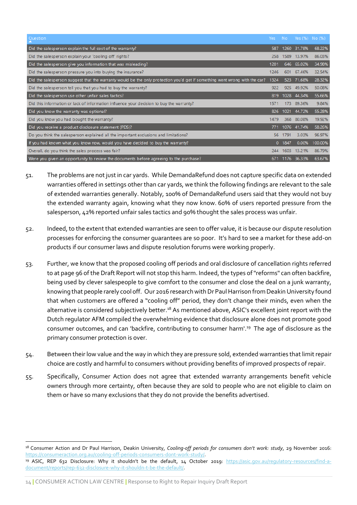| Question                                                                                                                   | Yes: | No.    | Yes (%) No (%) |         |
|----------------------------------------------------------------------------------------------------------------------------|------|--------|----------------|---------|
| Did the salesperson explain the full cost of the warranty?                                                                 | 587  | 1260   | 31.78%         | 68.22%  |
| Did the salesperson explain your 'cooling off' rights?                                                                     | 258  | 1589   | 13.97%         | 86.03%  |
| Did the salesperson give you information that was misleading?                                                              | 1201 |        | 646 65.02%     | 34.98%  |
| Did the salesperson pressure you into buying the insurance?                                                                | 1246 | 601    | 67.46%         | 32.54%  |
| Did the salesperson suggest that the warranty would be the only protection you'd get if something went wrong with the car? | 1324 | 523    | 71.68%         | 28.32%  |
| Did the salesperson tell you that you had to buy the warranty?                                                             | 922  | 925    | 49.92%         | 50.08%  |
| Did the salesperson use other unfair sales tactics?                                                                        | 819  |        | 1028 44.34%    | 55.66%  |
| Did this information or lack of information influence your decision to buy the warranty?                                   | 1571 | 173    | 89.36%         | 9.84%   |
| Did you know the warranty was optional?                                                                                    | 826  | 1021   | 44.72%         | 55.28%  |
| Did you know you had bought the warranty?                                                                                  | 1479 |        | 368 80,08%     | 19.92%  |
| Did you receive a product disclosure statement (PDS)?                                                                      | 771  |        | 1076 41.74%    | 58.26%  |
| Do you think the salesperson explained all the important exclusions and limitations?                                       | 56   | 1791   | 3.03%          | 96.97%  |
| If you had known what you know now, would you have decided to buy the warranty?                                            |      | 0.1847 | 0.00%          | 100.00% |
| Overall, do you think the sales process was fair?                                                                          | 244  | 1603   | 13.21%         | 86.79%  |
| Were you given an opportunity to review the documents before agreeing to the purchase?                                     | 671  |        | 1176 36.33%    | 63.67%  |

- 51. The problems are not just in car yards. While DemandaRefund does not capture specific data on extended warranties offered in settings other than car yards, we think the following findings are relevant to the sale of extended warranties generally. Notably, 100% of DemandaRefund users said that they would not buy the extended warranty again, knowing what they now know. 60% of users reported pressure from the salesperson, 42% reported unfair sales tactics and 90% thought the sales process was unfair.
- 52. Indeed, to the extent that extended warranties are seen to offer value, it is because our dispute resolution processes for enforcing the consumer guarantees are so poor. It's hard to see a market for these add-on products if our consumer laws and dispute resolution forums were working properly.
- 53. Further, we know that the proposed cooling off periods and oral disclosure of cancellation rights referred to at page 96 of the Draft Report will not stop this harm. Indeed, the types of "reforms" can often backfire, being used by clever salespeople to give comfort to the consumer and close the deal on a junk warranty, knowing that people rarely cool off. Our 2016 research with Dr Paul Harrison from Deakin University found that when customers are offered a "cooling off" period, they don't change their minds, even when the alternative is considered subjectively better.<sup>18</sup> As mentioned above, ASIC's excellent joint report with the Dutch regulator AFM compiled the overwhelming evidence that disclosure alone does not promote good consumer outcomes, and can 'backfire, contributing to consumer harm'.<sup>19</sup> The age of disclosure as the primary consumer protection is over.
- 54. Between their low value and the way in which they are pressure sold, extended warranties that limit repair choice are costly and harmful to consumers without providing benefits of improved prospects of repair.
- 55. Specifically, Consumer Action does not agree that extended warranty arrangements benefit vehicle owners through more certainty, often because they are sold to people who are not eligible to claim on them or have so many exclusions that they do not provide the benefits advertised.

<sup>18</sup> Consumer Action and Dr Paul Harrison, Deakin University, *Cooling-off periods for consumers don't work: study*, 29 November 2016: [https://consumeraction.org.au/cooling-off-periods-consumers-dont-work-study/.](https://consumeraction.org.au/cooling-off-periods-consumers-dont-work-study/)

<sup>19</sup> ASIC, REP 632 Disclosure: Why it shouldn't be the default, 14 October 2019: [https://asic.gov.au/regulatory-resources/find-a](https://asic.gov.au/regulatory-resources/find-a-document/reports/rep-632-disclosure-why-it-shouldn-t-be-the-default/)[document/reports/rep-632-disclosure-why-it-shouldn-t-be-the-default/.](https://asic.gov.au/regulatory-resources/find-a-document/reports/rep-632-disclosure-why-it-shouldn-t-be-the-default/)

<sup>14</sup> **|** CONSUMER ACTION LAW CENTRE **|** Response to Right to Repair Inquiry Draft Report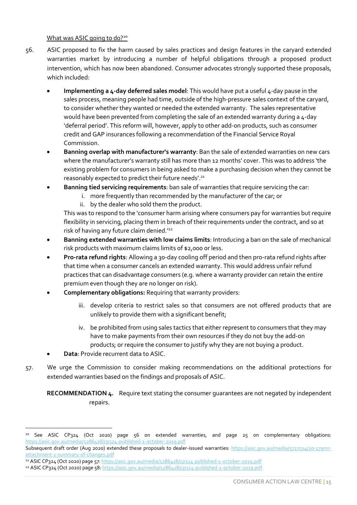#### What was ASIC going to do?<sup>20</sup>

- <span id="page-14-0"></span>56. ASIC proposed to fix the harm caused by sales practices and design features in the caryard extended warranties market by introducing a number of helpful obligations through a proposed product intervention, which has now been abandoned. Consumer advocates strongly supported these proposals, which included:
	- **Implementing a 4-day deferred sales model**: This would have put a useful 4-day pause in the sales process, meaning people had time, outside of the high-pressure sales context of the caryard, to consider whether they wanted or needed the extended warranty. The sales representative would have been prevented from completing the sale of an extended warranty during a 4-day 'deferral period'. This reform will, however, apply to other add-on products, such as consumer credit and GAP insurances following a recommendation of the Financial Service Royal Commission.
	- **Banning overlap with manufacturer's warranty**: Ban the sale of extended warranties on new cars where the manufacturer's warranty still has more than 12 months' cover. This was to address 'the existing problem for consumers in being asked to make a purchasing decision when they cannot be reasonably expected to predict their future needs'.<sup>21</sup>
	- **Banning tied servicing requirements**: ban sale of warranties that require servicing the car:
		- i. more frequently than recommended by the manufacturer of the car; or
		- ii. by the dealer who sold them the product.

This was to respond to the 'consumer harm arising where consumers pay for warranties but require flexibility in servicing, placing them in breach of their requirements under the contract, and so at risk of having any future claim denied.<sup>122</sup>

- **Banning extended warranties with low claims limits**: Introducing a ban on the sale of mechanical risk products with maximum claims limits of \$2,000 or less.
- **Pro-rata refund rights**: Allowing a 30-day cooling off period and then pro-rata refund rights after that time when a consumer cancels an extended warranty. This would address unfair refund practices that can disadvantage consumers (e.g. where a warranty provider can retain the entire premium even though they are no longer on risk).
- **Complementary obligations:** Requiring that warranty providers:
	- iii. develop criteria to restrict sales so that consumers are not offered products that are unlikely to provide them with a significant benefit;
	- iv. be prohibited from using sales tactics that either represent to consumers that they may have to make payments from their own resources if they do not buy the add-on products; or require the consumer to justify why they are not buying a product.
- **Data**: Provide recurrent data to ASIC.
- 57. We urge the Commission to consider making recommendations on the additional protections for extended warranties based on the findings and proposals of ASIC.

<span id="page-14-1"></span>**RECOMMENDATION 4.** Require text stating the consumer guarantees are not negated by independent repairs.

<sup>&</sup>lt;sup>20</sup> See ASIC CP324 (Oct 2020) page 56 on extended warranties, and page 25 on complementary obligations: <https://asic.gov.au/media/5286418/cp324-published-1-october-2019.pdf>

Subsequent draft order (Aug 2020) extended these proposals to dealer-issued warranties: [https://asic.gov.au/media/5727514/20-179mr](https://asic.gov.au/media/5727514/20-179mr-attachment-1-summary-of-changes.pdf)[attachment-1-summary-of-changes.pdf](https://asic.gov.au/media/5727514/20-179mr-attachment-1-summary-of-changes.pdf)

<sup>21</sup> ASIC CP324 (Oct 2020) page 57[: https://asic.gov.au/media/5286418/cp324-published-1-october-2019.pdf](https://asic.gov.au/media/5286418/cp324-published-1-october-2019.pdf)

<sup>22</sup> ASIC CP324 (Oct 2020) page 58[: https://asic.gov.au/media/5286418/cp324-published-1-october-2019.pdf](https://asic.gov.au/media/5286418/cp324-published-1-october-2019.pdf)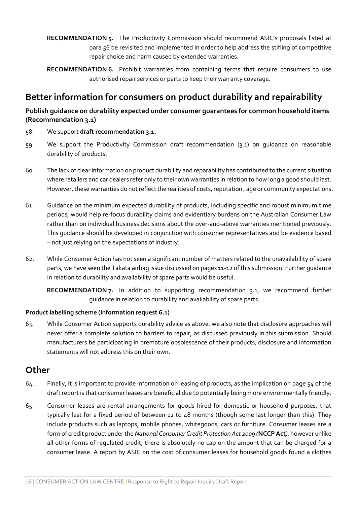- <span id="page-15-4"></span>**RECOMMENDATION 5.** The Productivity Commission should recommend ASIC's proposals listed at para 56 be revisited and implemented in order to help address the stifling of competitive repair choice and harm caused by extended warranties.
- <span id="page-15-5"></span>**RECOMMENDATION 6.** Prohibit warranties from containing terms that require consumers to use authorised repair services or parts to keep their warranty coverage.

### <span id="page-15-0"></span>**Better information for consumers on product durability and repairability**

#### <span id="page-15-1"></span>**Publish guidance on durability expected under consumer guarantees for common household items (Recommendation 3.1)**

- 58. We support **draft recommendation 3.1.**
- 59. We support the Productivity Commission draft recommendation (3.1) on guidance on reasonable durability of products.
- 60. The lack of clear information on product durability and reparability has contributed to the current situation where retailers and car dealers refer only to their own warranties in relation to how long a good should last. However, these warranties do not reflect the realities of costs, reputation , age or community expectations.
- 61. Guidance on the minimum expected durability of products, including specific and robust minimum time periods, would help re-focus durability claims and evidentiary burdens on the Australian Consumer Law rather than on individual business decisions about the over-and-above warranties mentioned previously. This guidance should be developed in conjunction with consumer representatives and be evidence based – not just relying on the expectations of industry.
- 62. While Consumer Action has not seen a significant number of matters related to the unavailability of spare parts, we have seen the Takata airbag issue discussed on pages 11-12 of this submission. Further guidance in relation to durability and availability of spare parts would be useful.

**RECOMMENDATION 7.** In addition to supporting recommendation 3.1, we recommend further guidance in relation to durability and availability of spare parts.

#### <span id="page-15-6"></span><span id="page-15-2"></span>**Product labelling scheme (Information request 6.1)**

63. While Consumer Action supports durability advice as above, we also note that disclosure approaches will never offer a complete solution to barriers to repair, as discussed previously in this submission. Should manufacturers be participating in premature obsolescence of their products, disclosure and information statements will not address this on their own.

### <span id="page-15-3"></span>**Other**

- 64. Finally, it is important to provide information on leasing of products, as the implication on page 54 of the draft report is that consumer leases are beneficial due to potentially being more environmentally friendly.
- 65. Consumer leases are rental arrangements for goods hired for domestic or household purposes, that typically last for a fixed period of between 12 to 48 months (though some last longer than this). They include products such as laptops, mobile phones, whitegoods, cars or furniture. Consumer leases are a form of credit product under the *National Consumer Credit Protection Act 2009 (***NCCP Act***)*, however unlike all other forms of regulated credit, there is absolutely no cap on the amount that can be charged for a consumer lease. A report by ASIC on the cost of consumer leases for household goods found a clothes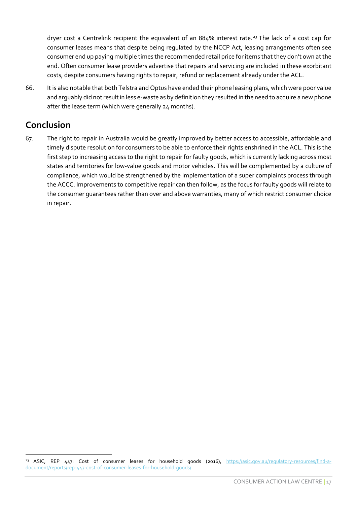dryer cost a Centrelink recipient the equivalent of an 884% interest rate.<sup>23</sup> The lack of a cost cap for consumer leases means that despite being regulated by the NCCP Act, leasing arrangements often see consumer end up paying multiple times the recommended retail price for items that they don't own at the end. Often consumer lease providers advertise that repairs and servicing are included in these exorbitant costs, despite consumers having rights to repair, refund or replacement already under the ACL.

66. It is also notable that both Telstra and Optus have ended their phone leasing plans, which were poor value and arguably did not result in less e-waste as by definition they resulted in the need to acquire a new phone after the lease term (which were generally 24 months).

## <span id="page-16-0"></span>**Conclusion**

67. The right to repair in Australia would be greatly improved by better access to accessible, affordable and timely dispute resolution for consumers to be able to enforce their rights enshrined in the ACL. This is the first step to increasing access to the right to repair for faulty goods, which is currently lacking across most states and territories for low-value goods and motor vehicles. This will be complemented by a culture of compliance, which would be strengthened by the implementation of a super complaints process through the ACCC. Improvements to competitive repair can then follow, as the focus for faulty goods will relate to the consumer guarantees rather than over and above warranties, many of which restrict consumer choice in repair.

<sup>&</sup>lt;sup>23</sup> ASIC, REP 447: Cost of consumer leases for household goods (2016), [https://asic.gov.au/regulatory-resources/find-a](https://asic.gov.au/regulatory-resources/find-a-document/reports/rep-447-cost-of-consumer-leases-for-household-goods/)[document/reports/rep-447-cost-of-consumer-leases-for-household-goods/](https://asic.gov.au/regulatory-resources/find-a-document/reports/rep-447-cost-of-consumer-leases-for-household-goods/)